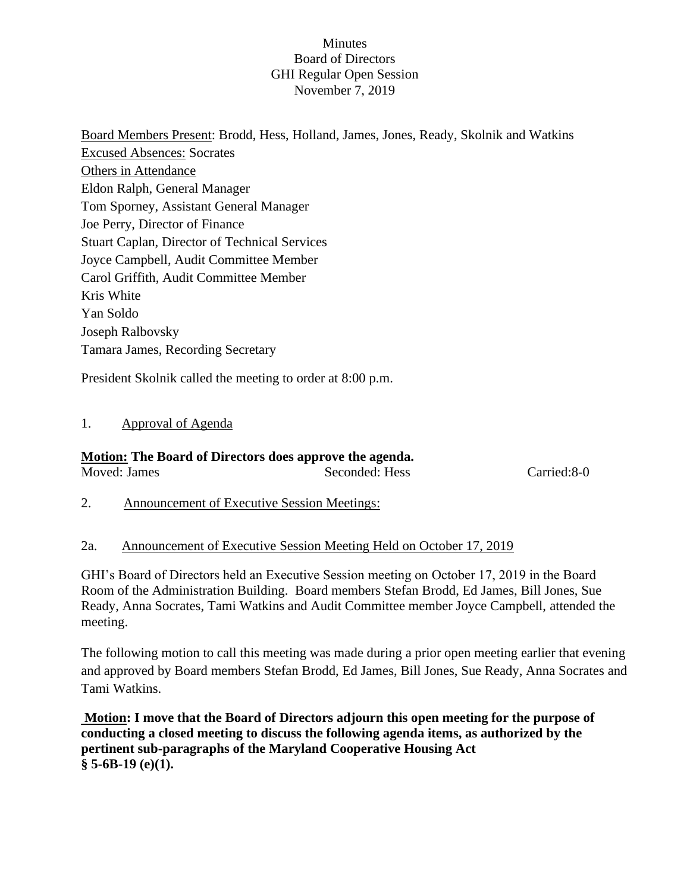#### Minutes Board of Directors GHI Regular Open Session November 7, 2019

Board Members Present: Brodd, Hess, Holland, James, Jones, Ready, Skolnik and Watkins Excused Absences: Socrates Others in Attendance Eldon Ralph, General Manager Tom Sporney, Assistant General Manager Joe Perry, Director of Finance Stuart Caplan, Director of Technical Services Joyce Campbell, Audit Committee Member Carol Griffith, Audit Committee Member Kris White Yan Soldo Joseph Ralbovsky Tamara James, Recording Secretary

President Skolnik called the meeting to order at 8:00 p.m.

# 1. Approval of Agenda

# **Motion: The Board of Directors does approve the agenda.**

Moved: James Seconded: Hess Carried:8-0

2. Announcement of Executive Session Meetings:

## 2a. Announcement of Executive Session Meeting Held on October 17, 2019

GHI's Board of Directors held an Executive Session meeting on October 17, 2019 in the Board Room of the Administration Building. Board members Stefan Brodd, Ed James, Bill Jones, Sue Ready, Anna Socrates, Tami Watkins and Audit Committee member Joyce Campbell, attended the meeting.

The following motion to call this meeting was made during a prior open meeting earlier that evening and approved by Board members Stefan Brodd, Ed James, Bill Jones, Sue Ready, Anna Socrates and Tami Watkins.

**Motion: I move that the Board of Directors adjourn this open meeting for the purpose of conducting a closed meeting to discuss the following agenda items, as authorized by the pertinent sub-paragraphs of the Maryland Cooperative Housing Act § 5-6B-19 (e)(1).**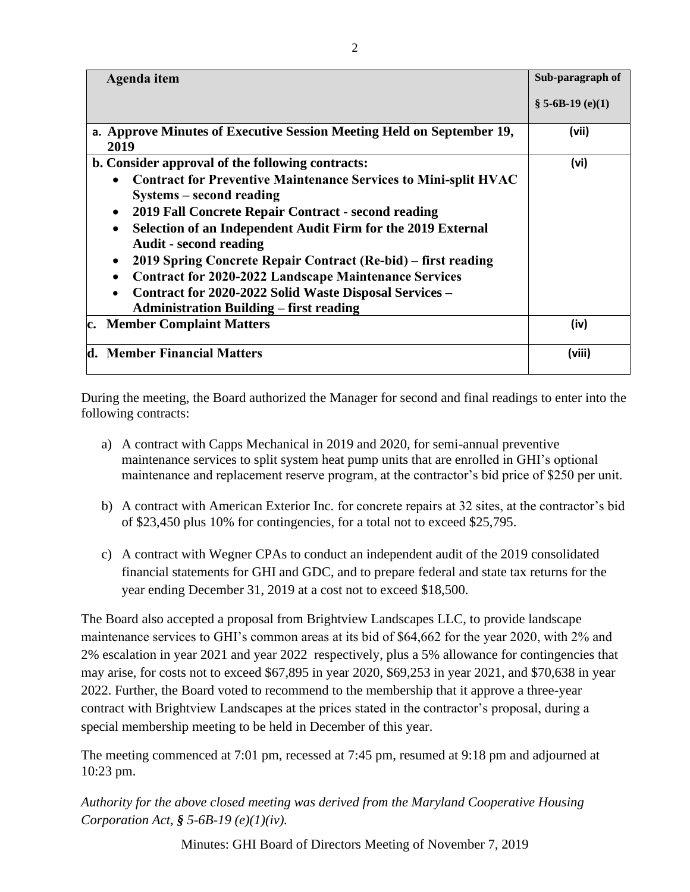| Agenda item                                                                                                                                                                                                                                                                                                                                                                                                                                                                                                                                                 | Sub-paragraph of |
|-------------------------------------------------------------------------------------------------------------------------------------------------------------------------------------------------------------------------------------------------------------------------------------------------------------------------------------------------------------------------------------------------------------------------------------------------------------------------------------------------------------------------------------------------------------|------------------|
|                                                                                                                                                                                                                                                                                                                                                                                                                                                                                                                                                             | $$5-6B-19(e)(1)$ |
| a. Approve Minutes of Executive Session Meeting Held on September 19,<br>2019                                                                                                                                                                                                                                                                                                                                                                                                                                                                               | (vii)            |
| b. Consider approval of the following contracts:                                                                                                                                                                                                                                                                                                                                                                                                                                                                                                            | (vi)             |
| <b>Contract for Preventive Maintenance Services to Mini-split HVAC</b><br>$\bullet$<br>Systems – second reading<br>2019 Fall Concrete Repair Contract - second reading<br>Selection of an Independent Audit Firm for the 2019 External<br>$\bullet$<br><b>Audit</b> - second reading<br>2019 Spring Concrete Repair Contract (Re-bid) – first reading<br>$\bullet$<br><b>Contract for 2020-2022 Landscape Maintenance Services</b><br>Contract for 2020-2022 Solid Waste Disposal Services -<br>$\bullet$<br><b>Administration Building – first reading</b> |                  |
| c. Member Complaint Matters                                                                                                                                                                                                                                                                                                                                                                                                                                                                                                                                 | (iv)             |
| d. Member Financial Matters                                                                                                                                                                                                                                                                                                                                                                                                                                                                                                                                 | (viii)           |

During the meeting, the Board authorized the Manager for second and final readings to enter into the following contracts:

- a) A contract with Capps Mechanical in 2019 and 2020, for semi-annual preventive maintenance services to split system heat pump units that are enrolled in GHI's optional maintenance and replacement reserve program, at the contractor's bid price of \$250 per unit.
- b) A contract with American Exterior Inc. for concrete repairs at 32 sites, at the contractor's bid of \$23,450 plus 10% for contingencies, for a total not to exceed \$25,795.
- c) A contract with Wegner CPAs to conduct an independent audit of the 2019 consolidated financial statements for GHI and GDC, and to prepare federal and state tax returns for the year ending December 31, 2019 at a cost not to exceed \$18,500.

The Board also accepted a proposal from Brightview Landscapes LLC, to provide landscape maintenance services to GHI's common areas at its bid of \$64,662 for the year 2020, with 2% and 2% escalation in year 2021 and year 2022 respectively, plus a 5% allowance for contingencies that may arise, for costs not to exceed \$67,895 in year 2020, \$69,253 in year 2021, and \$70,638 in year 2022. Further, the Board voted to recommend to the membership that it approve a three-year contract with Brightview Landscapes at the prices stated in the contractor's proposal, during a special membership meeting to be held in December of this year.

The meeting commenced at 7:01 pm, recessed at 7:45 pm, resumed at 9:18 pm and adjourned at 10:23 pm.

*Authority for the above closed meeting was derived from the Maryland Cooperative Housing Corporation Act, § 5-6B-19 (e)(1)(iv).* 

Minutes: GHI Board of Directors Meeting of November 7, 2019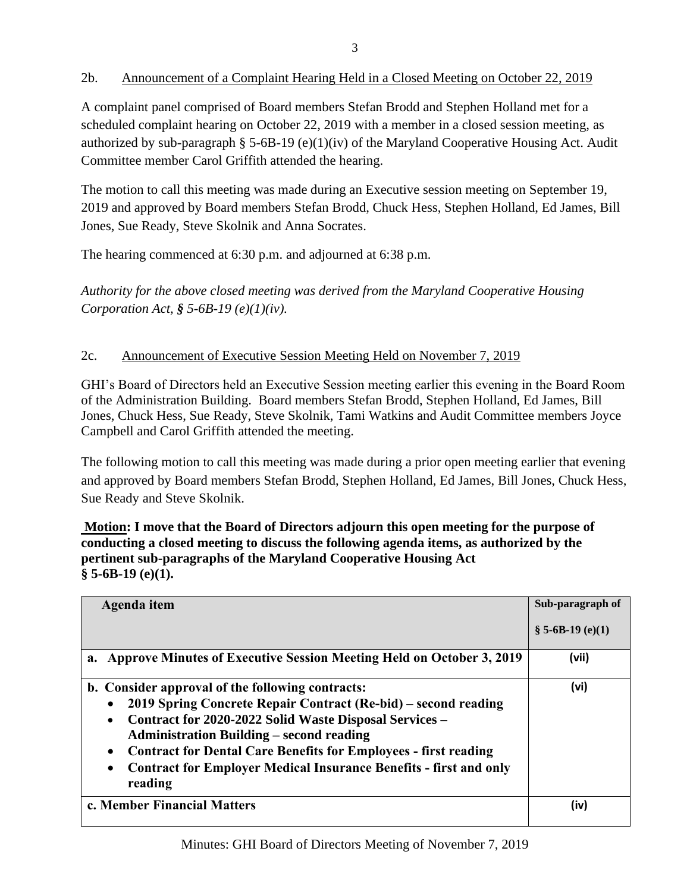# 2b. Announcement of a Complaint Hearing Held in a Closed Meeting on October 22, 2019

A complaint panel comprised of Board members Stefan Brodd and Stephen Holland met for a scheduled complaint hearing on October 22, 2019 with a member in a closed session meeting, as authorized by sub-paragraph § 5-6B-19 (e)(1)(iv) of the Maryland Cooperative Housing Act. Audit Committee member Carol Griffith attended the hearing.

The motion to call this meeting was made during an Executive session meeting on September 19, 2019 and approved by Board members Stefan Brodd, Chuck Hess, Stephen Holland, Ed James, Bill Jones, Sue Ready, Steve Skolnik and Anna Socrates.

The hearing commenced at 6:30 p.m. and adjourned at 6:38 p.m.

*Authority for the above closed meeting was derived from the Maryland Cooperative Housing Corporation Act, § 5-6B-19 (e)(1)(iv).* 

## 2c. Announcement of Executive Session Meeting Held on November 7, 2019

GHI's Board of Directors held an Executive Session meeting earlier this evening in the Board Room of the Administration Building. Board members Stefan Brodd, Stephen Holland, Ed James, Bill Jones, Chuck Hess, Sue Ready, Steve Skolnik, Tami Watkins and Audit Committee members Joyce Campbell and Carol Griffith attended the meeting.

The following motion to call this meeting was made during a prior open meeting earlier that evening and approved by Board members Stefan Brodd, Stephen Holland, Ed James, Bill Jones, Chuck Hess, Sue Ready and Steve Skolnik.

## **Motion: I move that the Board of Directors adjourn this open meeting for the purpose of conducting a closed meeting to discuss the following agenda items, as authorized by the pertinent sub-paragraphs of the Maryland Cooperative Housing Act § 5-6B-19 (e)(1).**

| Agenda item                                                                                                                                                                                                                                                                                                                                                                                      | Sub-paragraph of |
|--------------------------------------------------------------------------------------------------------------------------------------------------------------------------------------------------------------------------------------------------------------------------------------------------------------------------------------------------------------------------------------------------|------------------|
|                                                                                                                                                                                                                                                                                                                                                                                                  | $$5-6B-19(e)(1)$ |
| a. Approve Minutes of Executive Session Meeting Held on October 3, 2019                                                                                                                                                                                                                                                                                                                          | (vii)            |
| b. Consider approval of the following contracts:<br>2019 Spring Concrete Repair Contract (Re-bid) – second reading<br>Contract for 2020-2022 Solid Waste Disposal Services -<br><b>Administration Building – second reading</b><br><b>Contract for Dental Care Benefits for Employees - first reading</b><br><b>Contract for Employer Medical Insurance Benefits - first and only</b><br>reading | (vi)             |
| c. Member Financial Matters                                                                                                                                                                                                                                                                                                                                                                      | (iv)             |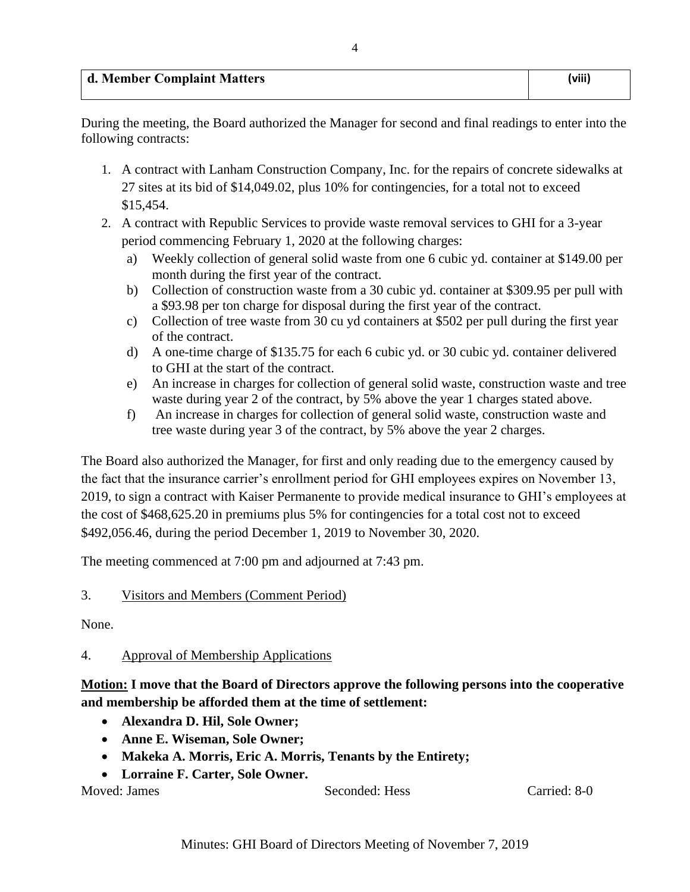4

During the meeting, the Board authorized the Manager for second and final readings to enter into the following contracts:

- 1. A contract with Lanham Construction Company, Inc. for the repairs of concrete sidewalks at 27 sites at its bid of \$14,049.02, plus 10% for contingencies, for a total not to exceed \$15,454.
- 2. A contract with Republic Services to provide waste removal services to GHI for a 3-year period commencing February 1, 2020 at the following charges:
	- a) Weekly collection of general solid waste from one 6 cubic yd. container at \$149.00 per month during the first year of the contract.
	- b) Collection of construction waste from a 30 cubic yd. container at \$309.95 per pull with a \$93.98 per ton charge for disposal during the first year of the contract.
	- c) Collection of tree waste from 30 cu yd containers at \$502 per pull during the first year of the contract.
	- d) A one-time charge of \$135.75 for each 6 cubic yd. or 30 cubic yd. container delivered to GHI at the start of the contract.
	- e) An increase in charges for collection of general solid waste, construction waste and tree waste during year 2 of the contract, by 5% above the year 1 charges stated above.
	- f) An increase in charges for collection of general solid waste, construction waste and tree waste during year 3 of the contract, by 5% above the year 2 charges.

The Board also authorized the Manager, for first and only reading due to the emergency caused by the fact that the insurance carrier's enrollment period for GHI employees expires on November 13, 2019, to sign a contract with Kaiser Permanente to provide medical insurance to GHI's employees at the cost of \$468,625.20 in premiums plus 5% for contingencies for a total cost not to exceed \$492,056.46, during the period December 1, 2019 to November 30, 2020.

The meeting commenced at 7:00 pm and adjourned at 7:43 pm.

# 3. Visitors and Members (Comment Period)

None.

# 4. Approval of Membership Applications

**Motion: I move that the Board of Directors approve the following persons into the cooperative and membership be afforded them at the time of settlement:**

- **Alexandra D. Hil, Sole Owner;**
- **Anne E. Wiseman, Sole Owner;**
- **Makeka A. Morris, Eric A. Morris, Tenants by the Entirety;**
- **Lorraine F. Carter, Sole Owner.**

Moved: James Seconded: Hess Carried: 8-0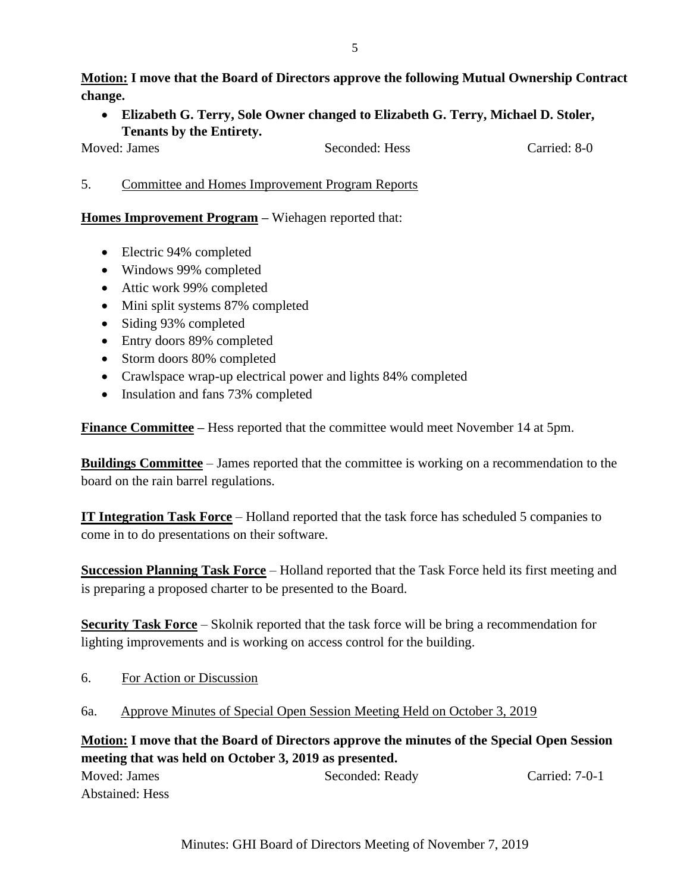**Motion: I move that the Board of Directors approve the following Mutual Ownership Contract change.**

• **Elizabeth G. Terry, Sole Owner changed to Elizabeth G. Terry, Michael D. Stoler, Tenants by the Entirety.** 

Moved: James Seconded: Hess Carried: 8-0

5. Committee and Homes Improvement Program Reports

## **Homes Improvement Program –** Wiehagen reported that:

- Electric 94% completed
- Windows 99% completed
- Attic work 99% completed
- Mini split systems 87% completed
- Siding 93% completed
- Entry doors 89% completed
- Storm doors 80% completed
- Crawlspace wrap-up electrical power and lights 84% completed
- Insulation and fans 73% completed

**Finance Committee –** Hess reported that the committee would meet November 14 at 5pm.

**Buildings Committee** – James reported that the committee is working on a recommendation to the board on the rain barrel regulations.

**IT Integration Task Force** – Holland reported that the task force has scheduled 5 companies to come in to do presentations on their software.

**Succession Planning Task Force** – Holland reported that the Task Force held its first meeting and is preparing a proposed charter to be presented to the Board.

**Security Task Force** – Skolnik reported that the task force will be bring a recommendation for lighting improvements and is working on access control for the building.

- 6. For Action or Discussion
- 6a. Approve Minutes of Special Open Session Meeting Held on October 3, 2019

**Motion: I move that the Board of Directors approve the minutes of the Special Open Session meeting that was held on October 3, 2019 as presented.** Moved: James Seconded: Ready Carried: 7-0-1

Abstained: Hess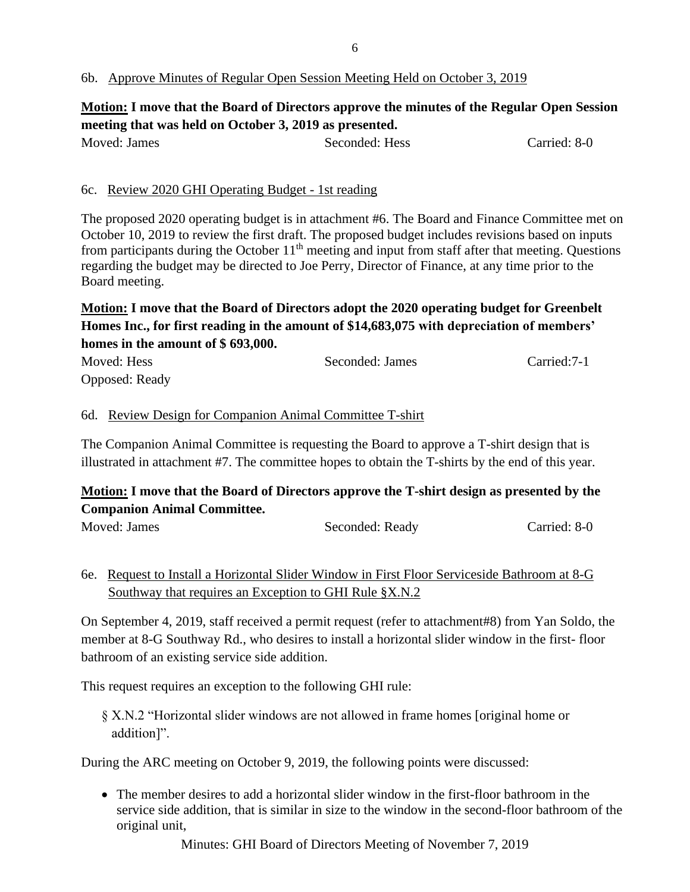#### 6b. Approve Minutes of Regular Open Session Meeting Held on October 3, 2019

# **Motion: I move that the Board of Directors approve the minutes of the Regular Open Session meeting that was held on October 3, 2019 as presented.**

| Moved: James | Seconded: Hess | Carried: 8-0 |
|--------------|----------------|--------------|
|              |                |              |

#### 6c. Review 2020 GHI Operating Budget - 1st reading

The proposed 2020 operating budget is in attachment #6. The Board and Finance Committee met on October 10, 2019 to review the first draft. The proposed budget includes revisions based on inputs from participants during the October 11<sup>th</sup> meeting and input from staff after that meeting. Questions regarding the budget may be directed to Joe Perry, Director of Finance, at any time prior to the Board meeting.

# **Motion: I move that the Board of Directors adopt the 2020 operating budget for Greenbelt Homes Inc., for first reading in the amount of \$14,683,075 with depreciation of members' homes in the amount of \$ 693,000.**

| Moved: Hess    | Seconded: James | Carried: 7-1 |
|----------------|-----------------|--------------|
| Opposed: Ready |                 |              |

#### 6d. Review Design for Companion Animal Committee T-shirt

The Companion Animal Committee is requesting the Board to approve a T-shirt design that is illustrated in attachment #7. The committee hopes to obtain the T-shirts by the end of this year.

# **Motion: I move that the Board of Directors approve the T-shirt design as presented by the Companion Animal Committee.**

Moved: James Seconded: Ready Carried: 8-0

# 6e. Request to Install a Horizontal Slider Window in First Floor Serviceside Bathroom at 8-G Southway that requires an Exception to GHI Rule §X.N.2

On September 4, 2019, staff received a permit request (refer to attachment#8) from Yan Soldo, the member at 8-G Southway Rd., who desires to install a horizontal slider window in the first- floor bathroom of an existing service side addition.

This request requires an exception to the following GHI rule:

§ X.N.2 "Horizontal slider windows are not allowed in frame homes [original home or addition]".

During the ARC meeting on October 9, 2019, the following points were discussed:

• The member desires to add a horizontal slider window in the first-floor bathroom in the service side addition, that is similar in size to the window in the second-floor bathroom of the original unit,

Minutes: GHI Board of Directors Meeting of November 7, 2019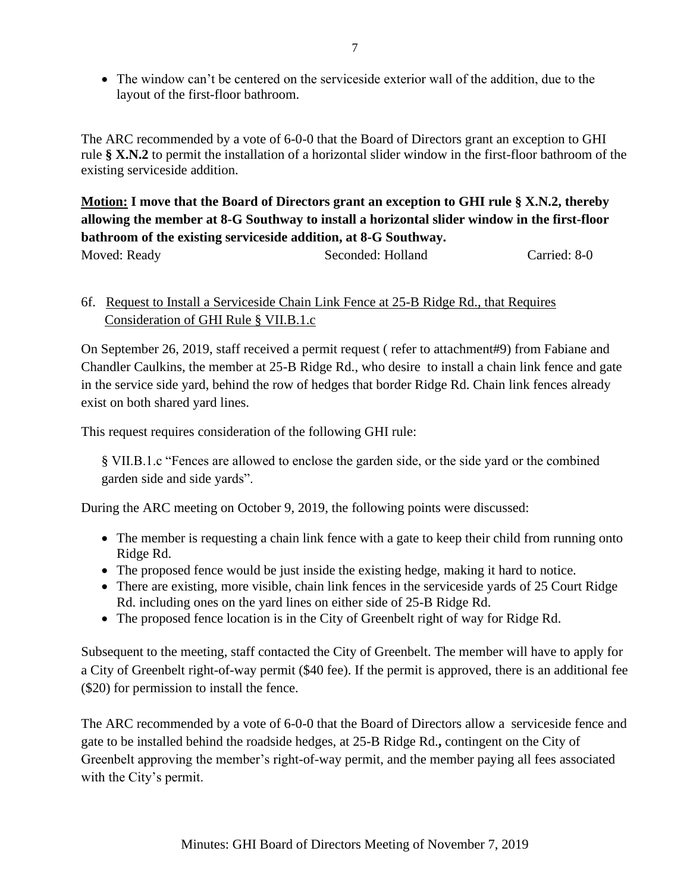• The window can't be centered on the serviceside exterior wall of the addition, due to the layout of the first-floor bathroom.

The ARC recommended by a vote of 6-0-0 that the Board of Directors grant an exception to GHI rule **§ X.N.2** to permit the installation of a horizontal slider window in the first-floor bathroom of the existing serviceside addition.

**Motion: I move that the Board of Directors grant an exception to GHI rule § X.N.2, thereby allowing the member at 8-G Southway to install a horizontal slider window in the first-floor bathroom of the existing serviceside addition, at 8-G Southway.**

Moved: Ready Seconded: Holland Carried: 8-0

# 6f. Request to Install a Serviceside Chain Link Fence at 25-B Ridge Rd., that Requires Consideration of GHI Rule § VII.B.1.c

On September 26, 2019, staff received a permit request ( refer to attachment#9) from Fabiane and Chandler Caulkins, the member at 25-B Ridge Rd., who desire to install a chain link fence and gate in the service side yard, behind the row of hedges that border Ridge Rd. Chain link fences already exist on both shared yard lines.

This request requires consideration of the following GHI rule:

§ VII.B.1.c "Fences are allowed to enclose the garden side, or the side yard or the combined garden side and side yards".

During the ARC meeting on October 9, 2019, the following points were discussed:

- The member is requesting a chain link fence with a gate to keep their child from running onto Ridge Rd.
- The proposed fence would be just inside the existing hedge, making it hard to notice.
- There are existing, more visible, chain link fences in the serviceside yards of 25 Court Ridge Rd. including ones on the yard lines on either side of 25-B Ridge Rd.
- The proposed fence location is in the City of Greenbelt right of way for Ridge Rd.

Subsequent to the meeting, staff contacted the City of Greenbelt. The member will have to apply for a City of Greenbelt right-of-way permit (\$40 fee). If the permit is approved, there is an additional fee (\$20) for permission to install the fence.

The ARC recommended by a vote of 6-0-0 that the Board of Directors allow a serviceside fence and gate to be installed behind the roadside hedges, at 25-B Ridge Rd.**,** contingent on the City of Greenbelt approving the member's right-of-way permit, and the member paying all fees associated with the City's permit.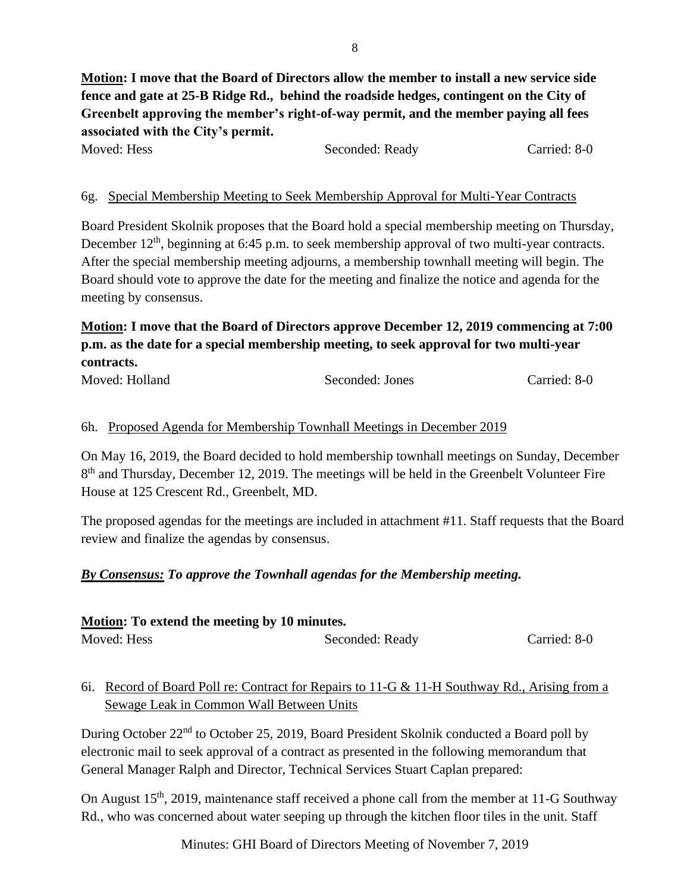**Motion: I move that the Board of Directors allow the member to install a new service side fence and gate at 25-B Ridge Rd., behind the roadside hedges, contingent on the City of Greenbelt approving the member's right-of-way permit, and the member paying all fees associated with the City's permit.** 

| Moved: Hess | Seconded: Ready | Carried: 8-0 |
|-------------|-----------------|--------------|
|             |                 |              |

## 6g. Special Membership Meeting to Seek Membership Approval for Multi-Year Contracts

Board President Skolnik proposes that the Board hold a special membership meeting on Thursday, December 12<sup>th</sup>, beginning at 6:45 p.m. to seek membership approval of two multi-year contracts. After the special membership meeting adjourns, a membership townhall meeting will begin. The Board should vote to approve the date for the meeting and finalize the notice and agenda for the meeting by consensus.

# **Motion: I move that the Board of Directors approve December 12, 2019 commencing at 7:00 p.m. as the date for a special membership meeting, to seek approval for two multi-year contracts.**

| Moved: Holland | Seconded: Jones | Carried: 8-0 |
|----------------|-----------------|--------------|
|                |                 |              |

#### 6h. Proposed Agenda for Membership Townhall Meetings in December 2019

On May 16, 2019, the Board decided to hold membership townhall meetings on Sunday, December 8<sup>th</sup> and Thursday, December 12, 2019. The meetings will be held in the Greenbelt Volunteer Fire House at 125 Crescent Rd., Greenbelt, MD.

The proposed agendas for the meetings are included in attachment #11. Staff requests that the Board review and finalize the agendas by consensus.

#### *By Consensus: To approve the Townhall agendas for the Membership meeting.*

| Motion: To extend the meeting by 10 minutes. |                 |              |  |
|----------------------------------------------|-----------------|--------------|--|
| Moved: Hess                                  | Seconded: Ready | Carried: 8-0 |  |

6i. Record of Board Poll re: Contract for Repairs to 11-G & 11-H Southway Rd., Arising from a Sewage Leak in Common Wall Between Units

During October 22nd to October 25, 2019, Board President Skolnik conducted a Board poll by electronic mail to seek approval of a contract as presented in the following memorandum that General Manager Ralph and Director, Technical Services Stuart Caplan prepared:

On August 15<sup>th</sup>, 2019, maintenance staff received a phone call from the member at 11-G Southway Rd., who was concerned about water seeping up through the kitchen floor tiles in the unit. Staff

Minutes: GHI Board of Directors Meeting of November 7, 2019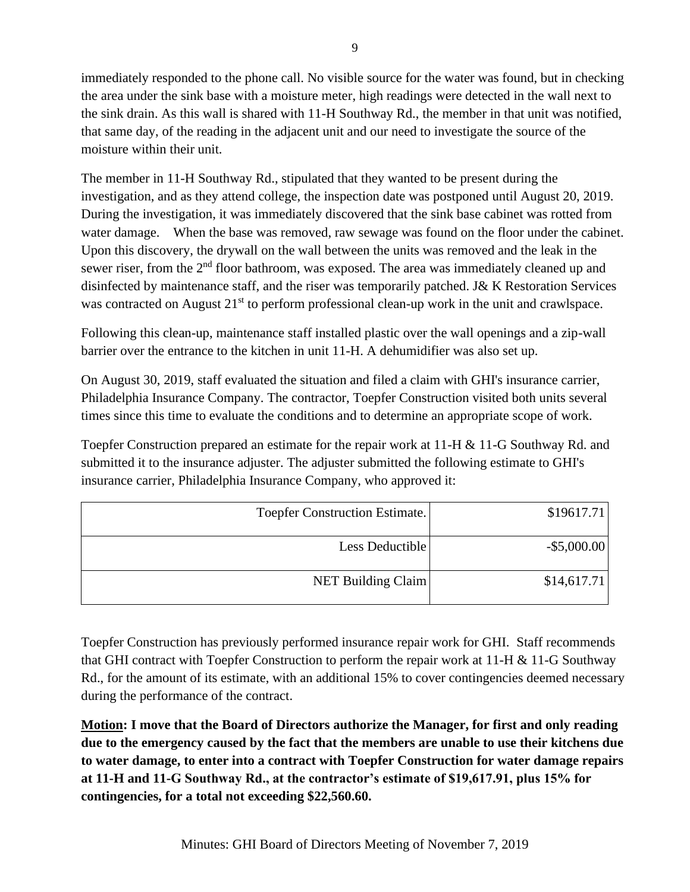immediately responded to the phone call. No visible source for the water was found, but in checking the area under the sink base with a moisture meter, high readings were detected in the wall next to the sink drain. As this wall is shared with 11-H Southway Rd., the member in that unit was notified, that same day, of the reading in the adjacent unit and our need to investigate the source of the moisture within their unit.

The member in 11-H Southway Rd., stipulated that they wanted to be present during the investigation, and as they attend college, the inspection date was postponed until August 20, 2019. During the investigation, it was immediately discovered that the sink base cabinet was rotted from water damage. When the base was removed, raw sewage was found on the floor under the cabinet. Upon this discovery, the drywall on the wall between the units was removed and the leak in the sewer riser, from the 2<sup>nd</sup> floor bathroom, was exposed. The area was immediately cleaned up and disinfected by maintenance staff, and the riser was temporarily patched. J& K Restoration Services was contracted on August 21<sup>st</sup> to perform professional clean-up work in the unit and crawlspace.

Following this clean-up, maintenance staff installed plastic over the wall openings and a zip-wall barrier over the entrance to the kitchen in unit 11-H. A dehumidifier was also set up.

On August 30, 2019, staff evaluated the situation and filed a claim with GHI's insurance carrier, Philadelphia Insurance Company. The contractor, Toepfer Construction visited both units several times since this time to evaluate the conditions and to determine an appropriate scope of work.

Toepfer Construction prepared an estimate for the repair work at 11-H & 11-G Southway Rd. and submitted it to the insurance adjuster. The adjuster submitted the following estimate to GHI's insurance carrier, Philadelphia Insurance Company, who approved it:

| <b>Toepfer Construction Estimate.</b> | \$19617.71     |
|---------------------------------------|----------------|
| Less Deductible                       | $-$ \$5,000.00 |
| NET Building Claim                    | \$14,617.71    |

Toepfer Construction has previously performed insurance repair work for GHI. Staff recommends that GHI contract with Toepfer Construction to perform the repair work at 11-H & 11-G Southway Rd., for the amount of its estimate, with an additional 15% to cover contingencies deemed necessary during the performance of the contract.

**Motion: I move that the Board of Directors authorize the Manager, for first and only reading due to the emergency caused by the fact that the members are unable to use their kitchens due to water damage, to enter into a contract with Toepfer Construction for water damage repairs at 11-H and 11-G Southway Rd., at the contractor's estimate of \$19,617.91, plus 15% for contingencies, for a total not exceeding \$22,560.60.**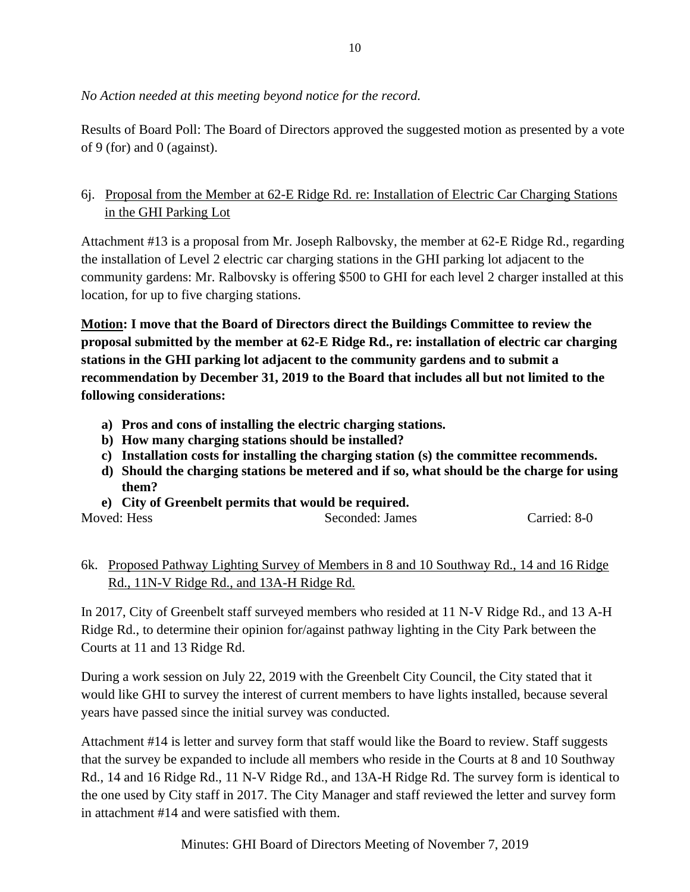# *No Action needed at this meeting beyond notice for the record.*

Results of Board Poll: The Board of Directors approved the suggested motion as presented by a vote of 9 (for) and 0 (against).

# 6j. Proposal from the Member at 62-E Ridge Rd. re: Installation of Electric Car Charging Stations in the GHI Parking Lot

Attachment #13 is a proposal from Mr. Joseph Ralbovsky, the member at 62-E Ridge Rd., regarding the installation of Level 2 electric car charging stations in the GHI parking lot adjacent to the community gardens: Mr. Ralbovsky is offering \$500 to GHI for each level 2 charger installed at this location, for up to five charging stations.

**Motion: I move that the Board of Directors direct the Buildings Committee to review the proposal submitted by the member at 62-E Ridge Rd., re: installation of electric car charging stations in the GHI parking lot adjacent to the community gardens and to submit a recommendation by December 31, 2019 to the Board that includes all but not limited to the following considerations:**

- **a) Pros and cons of installing the electric charging stations.**
- **b) How many charging stations should be installed?**
- **c) Installation costs for installing the charging station (s) the committee recommends.**
- **d) Should the charging stations be metered and if so, what should be the charge for using them?**
- **e) City of Greenbelt permits that would be required.**

| Moved: Hess<br>Seconded: James |  |              |
|--------------------------------|--|--------------|
|                                |  | Carried: 8-0 |

# 6k. Proposed Pathway Lighting Survey of Members in 8 and 10 Southway Rd., 14 and 16 Ridge Rd., 11N-V Ridge Rd., and 13A-H Ridge Rd.

In 2017, City of Greenbelt staff surveyed members who resided at 11 N-V Ridge Rd., and 13 A-H Ridge Rd., to determine their opinion for/against pathway lighting in the City Park between the Courts at 11 and 13 Ridge Rd.

During a work session on July 22, 2019 with the Greenbelt City Council, the City stated that it would like GHI to survey the interest of current members to have lights installed, because several years have passed since the initial survey was conducted.

Attachment #14 is letter and survey form that staff would like the Board to review. Staff suggests that the survey be expanded to include all members who reside in the Courts at 8 and 10 Southway Rd., 14 and 16 Ridge Rd., 11 N-V Ridge Rd., and 13A-H Ridge Rd. The survey form is identical to the one used by City staff in 2017. The City Manager and staff reviewed the letter and survey form in attachment #14 and were satisfied with them.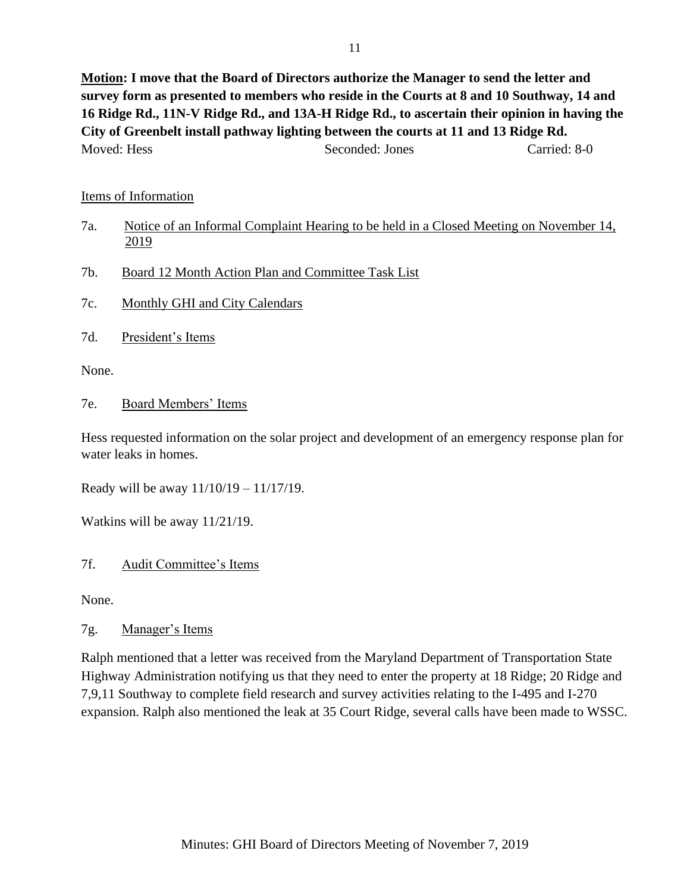**Motion: I move that the Board of Directors authorize the Manager to send the letter and survey form as presented to members who reside in the Courts at 8 and 10 Southway, 14 and 16 Ridge Rd., 11N-V Ridge Rd., and 13A-H Ridge Rd., to ascertain their opinion in having the City of Greenbelt install pathway lighting between the courts at 11 and 13 Ridge Rd.** Moved: Hess Seconded: Jones Carried: 8-0

#### Items of Information

- 7a. Notice of an Informal Complaint Hearing to be held in a Closed Meeting on November 14, 2019
- 7b. Board 12 Month Action Plan and Committee Task List
- 7c. Monthly GHI and City Calendars
- 7d. President's Items

None.

7e. Board Members' Items

Hess requested information on the solar project and development of an emergency response plan for water leaks in homes.

Ready will be away 11/10/19 – 11/17/19.

Watkins will be away 11/21/19.

## 7f. Audit Committee's Items

None.

## 7g. Manager's Items

Ralph mentioned that a letter was received from the Maryland Department of Transportation State Highway Administration notifying us that they need to enter the property at 18 Ridge; 20 Ridge and 7,9,11 Southway to complete field research and survey activities relating to the I-495 and I-270 expansion. Ralph also mentioned the leak at 35 Court Ridge, several calls have been made to WSSC.